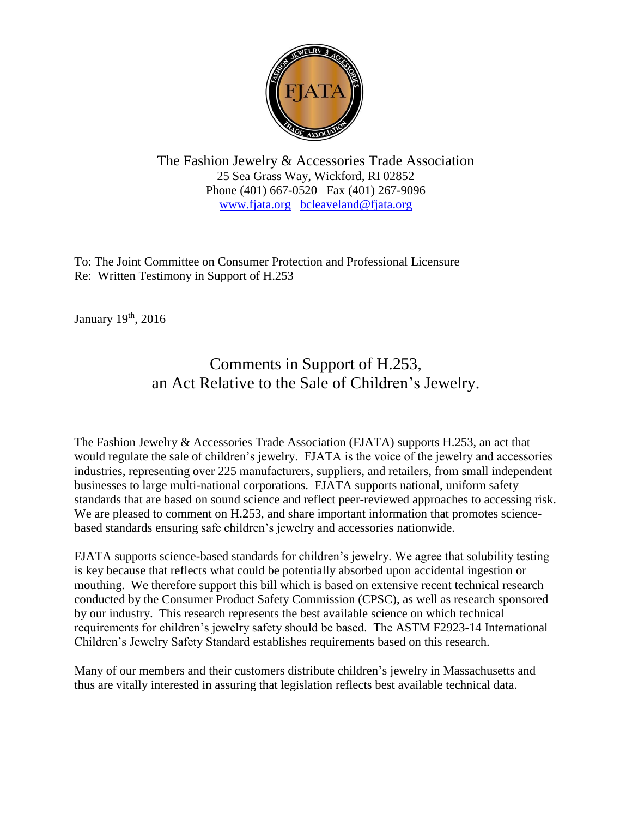

The Fashion Jewelry & Accessories Trade Association 25 Sea Grass Way, Wickford, RI 02852 Phone (401) 667-0520 Fax (401) 267-9096 [www.fjata.org](http://www.fjata.org/) [bcleaveland@fjata.org](mailto:bcleaveland@fjata.org)

To: The Joint Committee on Consumer Protection and Professional Licensure Re: Written Testimony in Support of H.253

January 19<sup>th</sup>, 2016

## Comments in Support of H.253, an Act Relative to the Sale of Children's Jewelry.

The Fashion Jewelry & Accessories Trade Association (FJATA) supports H.253, an act that would regulate the sale of children's jewelry. FJATA is the voice of the jewelry and accessories industries, representing over 225 manufacturers, suppliers, and retailers, from small independent businesses to large multi-national corporations. FJATA supports national, uniform safety standards that are based on sound science and reflect peer-reviewed approaches to accessing risk. We are pleased to comment on H.253, and share important information that promotes sciencebased standards ensuring safe children's jewelry and accessories nationwide.

FJATA supports science-based standards for children's jewelry. We agree that solubility testing is key because that reflects what could be potentially absorbed upon accidental ingestion or mouthing. We therefore support this bill which is based on extensive recent technical research conducted by the Consumer Product Safety Commission (CPSC), as well as research sponsored by our industry. This research represents the best available science on which technical requirements for children's jewelry safety should be based. The ASTM F2923-14 International Children's Jewelry Safety Standard establishes requirements based on this research.

Many of our members and their customers distribute children's jewelry in Massachusetts and thus are vitally interested in assuring that legislation reflects best available technical data.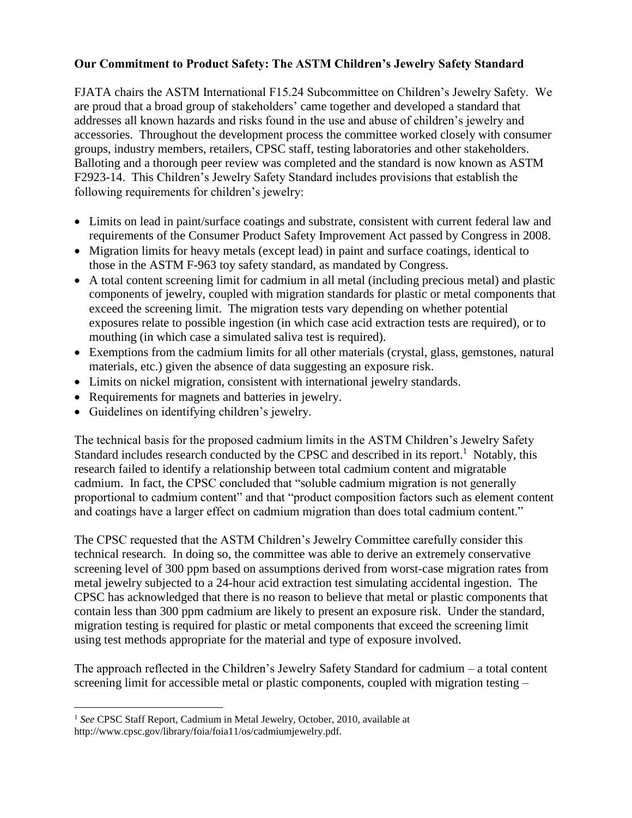## **Our Commitment to Product Safety: The ASTM Children's Jewelry Safety Standard**

FJATA chairs the ASTM International F15.24 Subcommittee on Children's Jewelry Safety. We are proud that a broad group of stakeholders' came together and developed a standard that addresses all known hazards and risks found in the use and abuse of children's jewelry and accessories. Throughout the development process the committee worked closely with consumer groups, industry members, retailers, CPSC staff, testing laboratories and other stakeholders. Balloting and a thorough peer review was completed and the standard is now known as ASTM F2923-14. This Children's Jewelry Safety Standard includes provisions that establish the following requirements for children's jewelry:

- Limits on lead in paint/surface coatings and substrate, consistent with current federal law and requirements of the Consumer Product Safety Improvement Act passed by Congress in 2008.
- Migration limits for heavy metals (except lead) in paint and surface coatings, identical to those in the ASTM F-963 toy safety standard, as mandated by Congress.
- A total content screening limit for cadmium in all metal (including precious metal) and plastic components of jewelry, coupled with migration standards for plastic or metal components that exceed the screening limit. The migration tests vary depending on whether potential exposures relate to possible ingestion (in which case acid extraction tests are required), or to mouthing (in which case a simulated saliva test is required).
- Exemptions from the cadmium limits for all other materials (crystal, glass, gemstones, natural materials, etc.) given the absence of data suggesting an exposure risk.
- Limits on nickel migration, consistent with international jewelry standards.
- Requirements for magnets and batteries in jewelry.
- Guidelines on identifying children's jewelry.

The technical basis for the proposed cadmium limits in the ASTM Children's Jewelry Safety Standard includes research conducted by the CPSC and described in its report.<sup>1</sup> Notably, this research failed to identify a relationship between total cadmium content and migratable cadmium. In fact, the CPSC concluded that "soluble cadmium migration is not generally proportional to cadmium content" and that "product composition factors such as element content and coatings have a larger effect on cadmium migration than does total cadmium content."

The CPSC requested that the ASTM Children's Jewelry Committee carefully consider this technical research. In doing so, the committee was able to derive an extremely conservative screening level of 300 ppm based on assumptions derived from worst-case migration rates from metal jewelry subjected to a 24-hour acid extraction test simulating accidental ingestion. The CPSC has acknowledged that there is no reason to believe that metal or plastic components that contain less than 300 ppm cadmium are likely to present an exposure risk. Under the standard, migration testing is required for plastic or metal components that exceed the screening limit using test methods appropriate for the material and type of exposure involved.

The approach reflected in the Children's Jewelry Safety Standard for cadmium – a total content screening limit for accessible metal or plastic components, coupled with migration testing –

 $\overline{a}$ <sup>1</sup> See CPSC Staff Report, Cadmium in Metal Jewelry, October, 2010, available at http://www.cpsc.gov/library/foia/foia11/os/cadmiumjewelry.pdf.